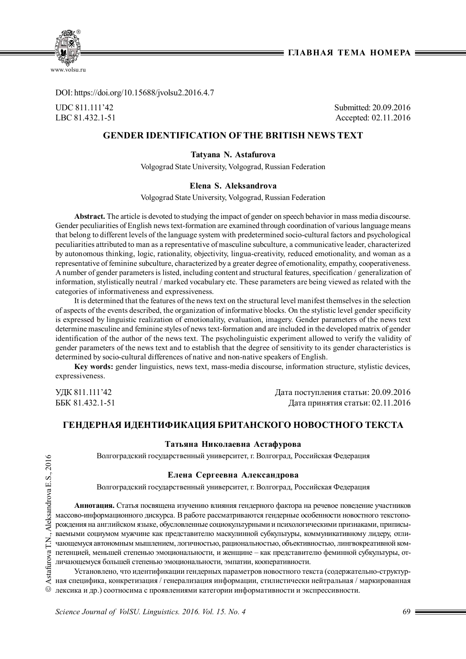**Е ГЛАВНАЯ ТЕМА НОМЕРА Е** 



DOI: https://doi.org/10.15688/jvolsu2.2016.4.7

UDC 811.111'42 Submitted: 20.09.2016 LBC 81.432.1-51 Accepted: 02.11.2016

# **GENDER IDENTIFICATION OFTHE BRITISH NEWS TEXT**

**Tatyana N. Astafurova**

Volgograd State University, Volgograd, Russian Federation

## **Elena S. Aleksandrova**

Volgograd State University, Volgograd, Russian Federation

**Abstract.** The article is devoted to studying the impact of gender on speech behavior in mass media discourse. Gender peculiarities of English news text-formation are examined through coordination of various language means that belong to different levels of the language system with predetermined socio-cultural factors and psychological peculiarities attributed to man as a representative of masculine subculture, a communicative leader, characterized by autonomous thinking, logic, rationality, objectivity, lingua-creativity, reduced emotionality, and woman as a representative of feminine subculture, characterized by a greater degree of emotionality, empathy, cooperativeness. A number of gender parameters is listed, including content and structural features, specification / generalization of information, stylistically neutral / marked vocabulary etc. These parameters are being viewed as related with the categories of informativeness and expressiveness.

It is determined that the features of the news text on the structural level manifest themselves in the selection of aspects of the events described, the organization of informative blocks. On the stylistic level gender specificity is expressed by linguistic realization of emotionality, evaluation, imagery. Gender parameters of the news text determine masculine and feminine styles of news text-formation and are included in the developed matrix of gender identification of the author of the news text. The psycholinguistic experiment allowed to verify the validity of gender parameters of the news text and to establish that the degree of sensitivity to its gender characteristics is determined by socio-cultural differences of native and non-native speakers of English.

**Key words:** gender linguistics, news text, mass-media discourse, information structure, stylistic devices, expressiveness.

УДК 811.111'42 Дата поступления статьи: 20.09.2016 ББК 81.432.1-51 Дата принятия статьи: 02.11.2016

# **ГЕНДЕРНАЯ ИДЕНТИФИКАЦИЯ БРИТАНСКОГО НОВОСТНОГО ТЕКСТА**

### **Татьяна Николаевна Астафурова**

Волгоградский государственный университет, г. Волгоград, Российская Федерация

## **Елена Сергеевна Александрова**

Волгоградский государственный университет, г. Волгоград, Российская Федерация

**Аннотация.** Статья посвящена изучению влияния гендерного фактора на речевое поведение участников массово-информационного дискурса. В работе рассматриваются гендерные особенности новостного текстопорождения на английском языке, обусловленные социокультурными и психологическими признаками, приписываемыми социумом мужчине как представителю маскулинной субкультуры, коммуникативному лидеру, отличающемуся автономным мышлением, логичностью, рациональностью, объективностью, лингвокреативной компетенцией, меньшей степенью эмоциональности, и женщине – как представителю феминной субкультуры, отличающемуся большей степенью эмоциональности, эмпатии, кооперативности.

Установлено, что идентификации гендерных параметров новостного текста (содержательно-структурная специфика, конкретизация / генерализация информации, стилистически нейтральная / маркированная лексика и др.) соотносима с проявлениями категории информативности и экспрессивности.

*Science Journal of VolSU. Linguistics. 2016. Vol. 15. No. 4* 69 **5**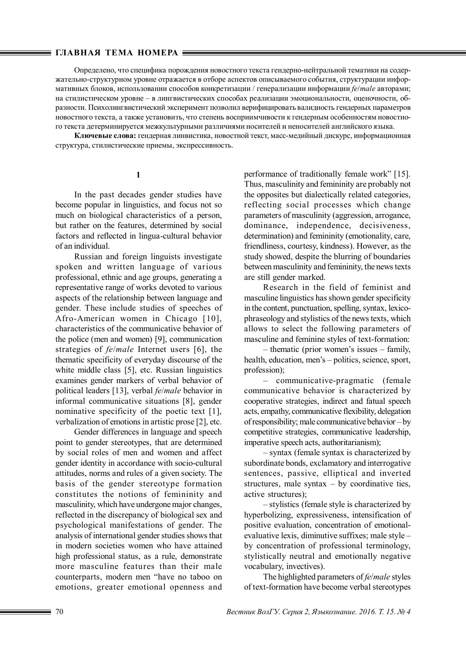#### **ГЛАВНАЯ ТЕМА НОМЕРА**

Определено, что специфика порождения новостного текста гендерно-нейтральной тематики на содержательно-структурном уровне отражается в отборе аспектов описываемого события, структурации информативных блоков, использовании способов конкретизации / генерализации информации *fe*/*male* авторами; на стилистическом уровне – в лингвистических способах реализации эмоциональности, оценочности, образности. Психолингвистический эксперимент позволил верифицировать валидность гендерных параметров новостного текста, а также установить, что степень восприимчивости к гендерным особенностям новостного текста детерминируется межкультурными различиями носителей и неносителей английского языка.

**Ключевые слова:** гендерная линвистика, новостной текст, масс-медийный дискурс, информационная структура, стилистические приемы, экспрессивность.

## **1**

In the past decades gender studies have become popular in linguistics, and focus not so much on biological characteristics of a person, but rather on the features, determined by social factors and reflected in lingua-cultural behavior of an individual.

Russian and foreign linguists investigate spoken and written language of various professional, ethnic and age groups, generating a representative range of works devoted to various aspects of the relationship between language and gender. These include studies of speeches of Afro-American women in Chicago [10], characteristics of the communicative behavior of the police (men and women) [9], communication strategies of *fe*/*male* Internet users [6], the thematic specificity of everyday discourse of the white middle class [5], etc. Russian linguistics examines gender markers of verbal behavior of political leaders [13], verbal *fe*/*male* behavior in informal communicative situations [8], gender nominative specificity of the poetic text [1], verbalization of emotions in artistic prose [2], etc.

Gender differences in language and speech point to gender stereotypes, that are determined by social roles of men and women and affect gender identity in accordance with socio-cultural attitudes, norms and rules of a given society. The basis of the gender stereotype formation constitutes the notions of femininity and masculinity, which have undergone major changes, reflected in the discrepancy of biological sex and psychological manifestations of gender. The analysis of international gender studies shows that in modern societies women who have attained high professional status, as a rule, demonstrate more masculine features than their male counterparts, modern men "have no taboo on emotions, greater emotional openness and performance of traditionally female work" [15]. Thus, masculinity and femininity are probably not the opposites but dialectically related categories, reflecting social processes which change parameters of masculinity (aggression, arrogance, dominance, independence, decisiveness, determination) and femininity (emotionality, care, friendliness, courtesy, kindness). However, as the study showed, despite the blurring of boundaries between masculinity and femininity, the news texts are still gender marked.

Research in the field of feminist and masculine linguistics has shown gender specificity in the content, punctuation, spelling, syntax, lexicophraseology and stylistics of the news texts, which allows to select the following parameters of masculine and feminine styles of text-formation:

– thematic (prior women's issues – family, health, education, men's – politics, science, sport, profession);

– communicative-pragmatic (female communicative behavior is characterized by cooperative strategies, indirect and fatual speech acts, empathy, communicative flexibility, delegation of responsibility; male communicative behavior – by competitive strategies, communicative leadership, imperative speech acts, authoritarianism);

– syntax (female syntax is characterized by subordinate bonds, exclamatory and interrogative sentences, passive, elliptical and inverted structures, male syntax  $-$  by coordinative ties, active structures);

– stylistics (female style is characterized by hyperbolizing, expressiveness, intensification of positive evaluation, concentration of emotionalevaluative lexis, diminutive suffixes; male style – by concentration of professional terminology, stylistically neutral and emotionally negative vocabulary, invectives).

The highlighted parameters of *fe*/*male* styles of text-formation have become verbal stereotypes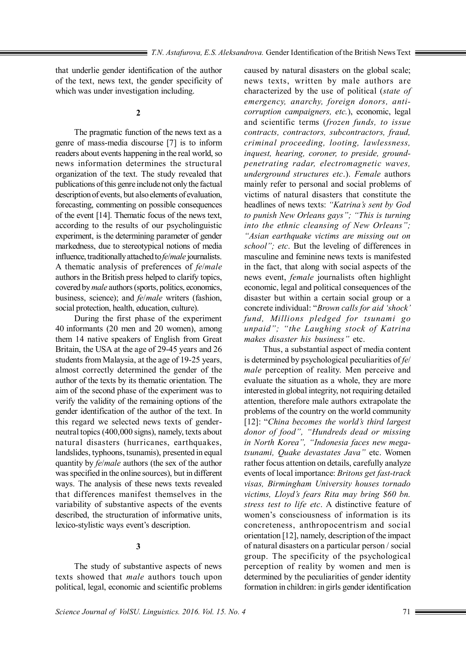that underlie gender identification of the author of the text, news text, the gender specificity of which was under investigation including.

**2**

The pragmatic function of the news text as a genre of mass-media discourse [7] is to inform readers about events happening in the real world, so news information determines the structural organization of the text. The study revealed that publications of this genre include not only the factual description of events, but also elements of evaluation, forecasting, commenting on possible consequences of the event [14]. Thematic focus of the news text, according to the results of our psycholinguistic experiment, is the determining parameter of gender markedness, due to stereotypical notions of media influence, traditionally attached to *fe*/*male* journalists. A thematic analysis of preferences of *fe*/*male* authors in the British press helped to clarify topics, covered by *male* authors (sports, politics, economics, business, science); and *fe*/*male* writers (fashion, social protection, health, education, culture).

During the first phase of the experiment 40 informants (20 men and 20 women), among them 14 native speakers of English from Great Britain, the USA at the age of 29-45 years and 26 students from Malaysia, at the age of 19-25 years, almost correctly determined the gender of the author of the texts by its thematic orientation. The aim of the second phase of the experiment was to verify the validity of the remaining options of the gender identification of the author of the text. In this regard we selected news texts of genderneutral topics (400,000 signs), namely, texts about natural disasters (hurricanes, earthquakes, landslides, typhoons, tsunamis), presented in equal quantity by *fe*/*male* authors (the sex of the author was specified in the online sources), but in different ways. The analysis of these news texts revealed that differences manifest themselves in the variability of substantive aspects of the events described, the structuration of informative units, lexico-stylistic ways event's description.

## **3**

The study of substantive aspects of news texts showed that *male* authors touch upon political, legal, economic and scientific problems

caused by natural disasters on the global scale; news texts, written by male authors are characterized by the use of political (*state of emergency, anarchy, foreign donors, anticorruption campaigners, etc.*), economic, legal and scientific terms (*frozen funds, to issue contracts, contractors, subcontractors, fraud, criminal proceeding, looting, lawlessness, inquest, hearing, coroner, to preside, groundpenetrating radar, electromagnetic waves, underground structures etc*.). *Female* authors mainly refer to personal and social problems of victims of natural disasters that constitute the headlines of news texts: *"Katrina's sent by God to punish New Orleans gays"; "This is turning into the ethnic cleansing of New Orleans"; "Asian earthquake victims are missing out on school"; etc*. But the leveling of differences in masculine and feminine news texts is manifested in the fact, that along with social aspects of the news event, *female* journalists often highlight economic, legal and political consequences of the disaster but within a certain social group or a concrete individual: "*Brown calls for aid 'shock' fund, Millions pledged for tsunami go unpaid"; "the Laughing stock of Katrina makes disaster his business"* etc.

Thus, a substantial aspect of media content is determined by psychological peculiarities of *fe*/ *male* perception of reality. Men perceive and evaluate the situation as a whole, they are more interested in global integrity, not requiring detailed attention, therefore male authors extrapolate the problems of the country on the world community [12]: "*China becomes the world's third largest donor of food", "Hundreds dead or missing in North Korea", "Indonesia faces new megatsunami, Quake devastates Java"* etc. Women rather focus attention on details, carefully analyze events of local importance: *Britons get fast-track visas, Birmingham University houses tornado victims, Lloyd's fears Rita may bring \$60 bn. stress test to life etc*. A distinctive feature of women's consciousness of information is its concreteness, anthropocentrism and social orientation [12], namely, description of the impact of natural disasters on a particular person / social group. The specificity of the psychological perception of reality by women and men is determined by the peculiarities of gender identity formation in children: in girls gender identification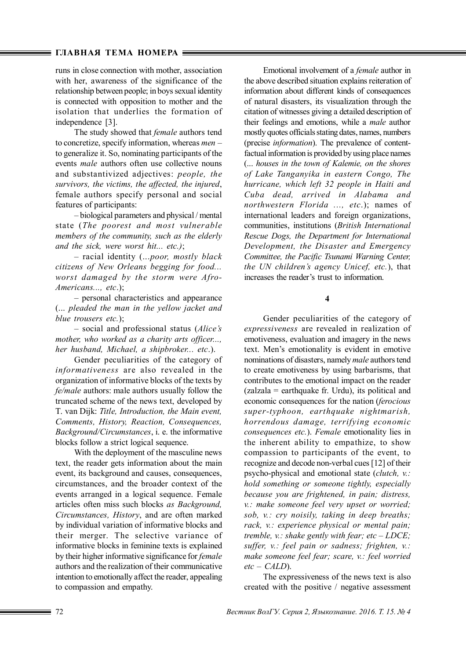### **ГЛАВНАЯ ТЕМА НОМЕРА**

runs in close connection with mother, association with her, awareness of the significance of the relationship between people; in boys sexual identity is connected with opposition to mother and the isolation that underlies the formation of independence [3].

The study showed that *female* authors tend to concretize, specify information, whereas *men* – to generalize it. So, nominating participants of the events *male* authors often use collective nouns and substantivized adjectives: *people, the survivors, the victims, the affected, the injured*, female authors specify personal and social features of participants:

– biological parameters and physical / mental state (*The poorest and most vulnerable members of the community, such as the elderly and the sick, were worst hit... etc.)*;

– racial identity (...*poor, mostly black citizens of New Orleans begging for food... worst damaged by the storm were Afro-Americans..., etc*.);

– personal characteristics and appearance (... *pleaded the man in the yellow jacket and blue trousers etc.*);

– social and professional status (*Alice's mother, who worked as a charity arts officer..., her husband, Michael, a shipbroker... etc*.).

Gender peculiarities of the category of *informativeness* are also revealed in the organization of informative blocks of the texts by *fe/male* authors: male authors usually follow the truncated scheme of the news text, developed by T. van Dijk: *Title, Introduction, the Main event, Comments, History, Reaction, Consequences, Background/Circumstances*, i. e. the informative blocks follow a strict logical sequence.

With the deployment of the masculine news text, the reader gets information about the main event, its background and causes, consequences, circumstances, and the broader context of the events arranged in a logical sequence. Female articles often miss such blocks *as Background, Circumstances, History*, and are often marked by individual variation of informative blocks and their merger. The selective variance of informative blocks in feminine texts is explained by their higher informative significance for *female* authors and the realization of their communicative intention to emotionally affect the reader, appealing to compassion and empathy.

Emotional involvement of a *female* author in the above described situation explains reiteration of information about different kinds of consequences of natural disasters, its visualization through the citation of witnesses giving a detailed description of their feelings and emotions, while a *male* author mostly quotes officials stating dates, names, numbers (precise *information*). The prevalence of contentfactual information is provided by using place names (... *houses in the town of Kalemie, on the shores of Lake Tanganyika in eastern Congo, The hurricane, which left 32 people in Haiti and Cuba dead, arrived in Alabama and northwestern Florida ..., etc*.); names of international leaders and foreign organizations, communities, institutions (*British International Rescue Dogs, the Department for International Development, the Disaster and Emergency Committee, the Pacific Tsunami Warning Center, the UN children's agency Unicef, etc.*), that increases the reader's trust to information.

**4**

Gender peculiarities of the category of *expressiveness* are revealed in realization of emotiveness, evaluation and imagery in the news text. Men's emotionality is evident in emotive nominations of disasters, namely *male* authors tend to create emotiveness by using barbarisms, that contributes to the emotional impact on the reader  $(zalzala = earthauake$  fr. Urdu), its political and economic consequences for the nation (*ferocious super-typhoon, earthquake nightmarish, horrendous damage, terrifying economic consequences etc.*). *Female* emotionality lies in the inherent ability to empathize, to show compassion to participants of the event, to recognize and decode non-verbal cues [12] of their psycho-physical and emotional state (*clutch, v.: hold something or someone tightly, especially because you are frightened, in pain; distress, v.: make someone feel very upset or worried; sob, v.: cry noisily, taking in deep breaths; rack, v.: experience physical or mental pain; tremble, v.: shake gently with fear; etc – LDCE; suffer, v.: feel pain or sadness; frighten, v.: make someone feel fear; scare, v.: feel worried etc – CALD*).

The expressiveness of the news text is also created with the positive / negative assessment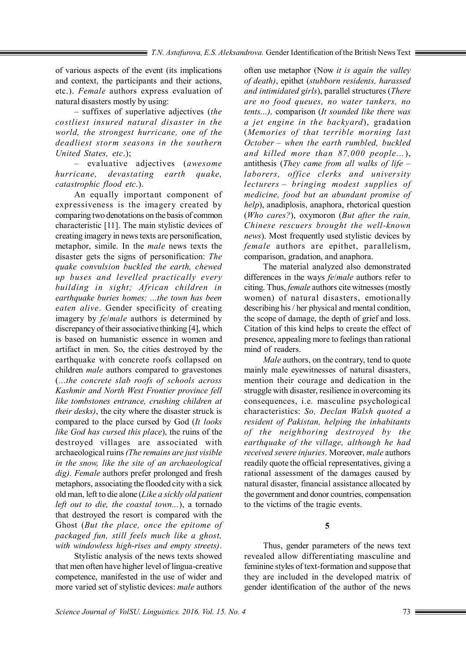of various aspects of the event (its implications and context, the participants and their actions, etc.). *Female* authors express evaluation of natural disasters mostly by using:

– suffixes of superlative adjectives (*the costliest insured natural disaster in the world, the strongest hurricane, one of the deadliest storm seasons in the southern United States, etc*.);

– evaluative adjectives (*awesome hurricane, devastating earth quake, catastrophic flood etc*.).

An equally important component of expressiveness is the imagery created by comparing two denotations on the basis of common characteristic [11]. The main stylistic devices of creating imagery in news texts are personification, metaphor, simile. In the *male* news texts the disaster gets the signs of personification: *The quake convulsion buckled the earth, chewed up buses and levelled practically every building in sight; African children in earthquake buries homes; ...the town has been eaten alive*. Gender specificity of creating imagery by *fe*/*male* authors is determined by discrepancy of their associative thinking [4], which is based on humanistic essence in women and artifact in men. So, the cities destroyed by the earthquake with concrete roofs collapsed on children *male* authors compared to gravestones (...*the concrete slab roofs of schools across Kashmir and North West Frontier province fell like tombstones entrance, crushing children at their desks)*, the city where the disaster struck is compared to the place cursed by God (*It looks like God has cursed this place*), the ruins of the destroyed villages are associated with archaeological ruins *(The remains are just visible in the snow, like the site of an archaeological dig). Female* authors prefer prolonged and fresh metaphors, associating the flooded city with a sick old man, left to die alone (*Like a sickly old patient left out to die, the coastal town...*), a tornado that destroyed the resort is compared with the Ghost (*But the place, once the epitome of packaged fun, still feels much like a ghost, with windowless high-rises and empty streets)*.

Stylistic analysis of the news texts showed that men often have higher level of lingua-creative competence, manifested in the use of wider and more varied set of stylistic devices: *male* authors

often use metaphor (Now *it is again the valley of death)*, epithet (*stubborn residents, harassed and intimidated girls*), parallel structures (*There are no food queues, no water tankers, no tents...),* comparison (*It sounded like there was a jet engine in the backyard*), gradation (*Memories of that terrible morning last October – when the earth rumbled, buckled and killed more than 87,000 people...*), antithesis (*They came from all walks of life – laborers, office clerks and university lecturers – bringing modest supplies of medicine, food but an abundant promise of help*), anadiplosis, anaphora, rhetorical question (*Who cares?*), oxymoron (*But after the rain, Chinese rescuers brought the well-known news*). Most frequently used stylistic devices by *female* authors are epithet, parallelism, comparison, gradation, and anaphora.

The material analyzed also demonstrated differences in the ways *fe*/*male* authors refer to citing. Thus, *female* authors cite witnesses (mostly women) of natural disasters, emotionally describing his / her physical and mental condition, the scope of damage, the depth of grief and loss. Citation of this kind helps to create the effect of presence, appealing more to feelings than rational mind of readers.

*Male* authors, on the contrary, tend to quote mainly male eyewitnesses of natural disasters, mention their courage and dedication in the struggle with disaster, resilience in overcoming its consequences, i.e. masculine psychological characteristics: *So, Declan Walsh quoted a resident of Pakistan, helping the inhabitants of the neighboring destroyed by the earthquake of the village, although he had received severe injuries*. Moreover, *male* authors readily quote the official representatives, giving a rational assessment of the damages caused by natural disaster, financial assistance allocated by the government and donor countries, compensation to the victims of the tragic events.

**5**

Thus, gender parameters of the news text revealed allow differentiating masculine and feminine styles of text-formation and suppose that they are included in the developed matrix of gender identification of the author of the news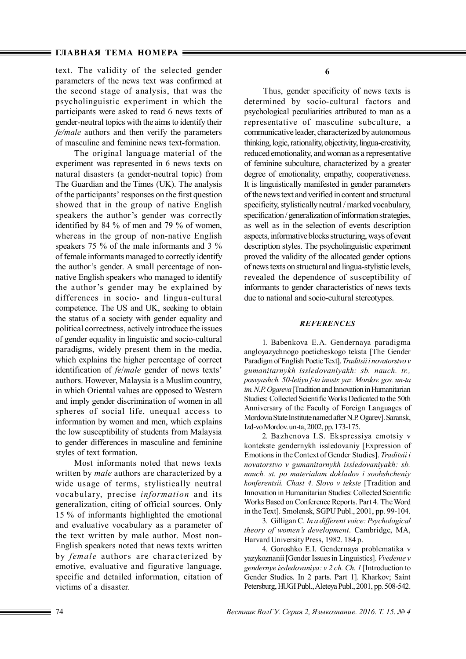text. The validity of the selected gender parameters of the news text was confirmed at the second stage of analysis, that was the psycholinguistic experiment in which the participants were asked to read 6 news texts of gender-neutral topics with the aims to identify their *fe/male* authors and then verify the parameters of masculine and feminine news text-formation.

The original language material of the experiment was represented in 6 news texts on natural disasters (a gender-neutral topic) from The Guardian and the Times (UK). The analysis of the participants' responses on the first question showed that in the group of native English speakers the author's gender was correctly identified by 84 % of men and 79 % of women, whereas in the group of non-native English speakers 75 % of the male informants and 3 % of female informants managed to correctly identify the author's gender. A small percentage of nonnative English speakers who managed to identify the author's gender may be explained by differences in socio- and lingua-cultural competence. The US and UK, seeking to obtain the status of a society with gender equality and political correctness, actively introduce the issues of gender equality in linguistic and socio-cultural paradigms, widely present them in the media, which explains the higher percentage of correct identification of *fe*/*male* gender of news texts' authors. However, Malaysia is a Muslim country, in which Oriental values are opposed to Western and imply gender discrimination of women in all spheres of social life, unequal access to information by women and men, which explains the low susceptibility of students from Malaysia to gender differences in masculine and feminine styles of text formation.

Most informants noted that news texts written by *mаle* authors are characterized by a wide usage of terms, stylistically neutral vocabulary, precise *information* and its generalization, citing of official sources. Only 15 % of informants highlighted the emotional and evaluative vocabulary as a parameter of the text written by male author. Most non-English speakers noted that news texts written by *femаle* authors are characterized by emotive, evaluative and figurative language, specific and detailed information, citation of victims of a disaster.

**6**

Thus, gender specificity of news texts is determined by socio-cultural factors and psychological peculiarities attributed to man as a representative of masculine subculture, a communicative leader, characterized by autonomous thinking, logic, rationality, objectivity, lingua-creativity, reduced emotionality, and woman as a representative of feminine subculture, characterized by a greater degree of emotionality, empathy, cooperativeness. It is linguistically manifested in gender parameters of the news text and verified in content and structural specificity, stylistically neutral / marked vocabulary, specification / generalization of information strategies, as well as in the selection of events description aspects, informative blocks structuring, ways of event description styles. The psycholinguistic experiment proved the validity of the allocated gender options of news texts on structural and lingua-stylistic levels, revealed the dependence of susceptibility of informants to gender characteristics of news texts due to national and socio-cultural stereotypes.

#### *REFERENCES*

1. Babenkova E.A. Gendernaya paradigma angloyazychnogo poeticheskogo teksta [The Gender Paradigm of English Poetic Text]. *Traditsii i novatorstvo v gumanitarnykh issledovaniyakh: sb. nauch. tr., posvyashch. 50-letiyu f-ta inostr. yaz. Mordov. gos. un-ta im. N.P. Ogareva* [Tradition and Innovation in Humanitarian Studies: Collected Scientific Works Dedicated to the 50th Anniversary of the Faculty of Foreign Languages of Mordovia State Institute named after N.P. Ogarev]. Saransk, Izd-vo Mordov. un-ta, 2002, pp. 173-175.

2. Bazhenova I.S. Ekspressiya emotsiy v kontekste gendernykh issledovaniy [Expression of Emotions in the Context of Gender Studies]. *Traditsii i novatorstvo v gumanitarnykh issledovaniyakh: sb. nauch. st. po materialam dokladov i soobshcheniy konferentsii. Chast 4. Slovo v tekste* [Tradition and Innovation in Humanitarian Studies: Collected Scientific Works Based on Conference Reports. Part 4. The Word in the Text]. Smolensk, SGPU Publ., 2001, pp. 99-104.

3. Gilligan С. *In a different voice: Psychological theory of women's development*. Cambridge, MA, Harvard University Press, 1982. 184 p.

4. Goroshko E.I. Gendernaya problematika v yazykoznanii [Gender Issues in Linguistics]. *Vvedenie v gendernye issledovaniya: v 2 ch. Ch. 1* [Introduction to Gender Studies. In 2 parts. Part 1]. Kharkov; Saint Petersburg, HUGI Publ., Aleteya Publ., 2001, pp. 508-542.